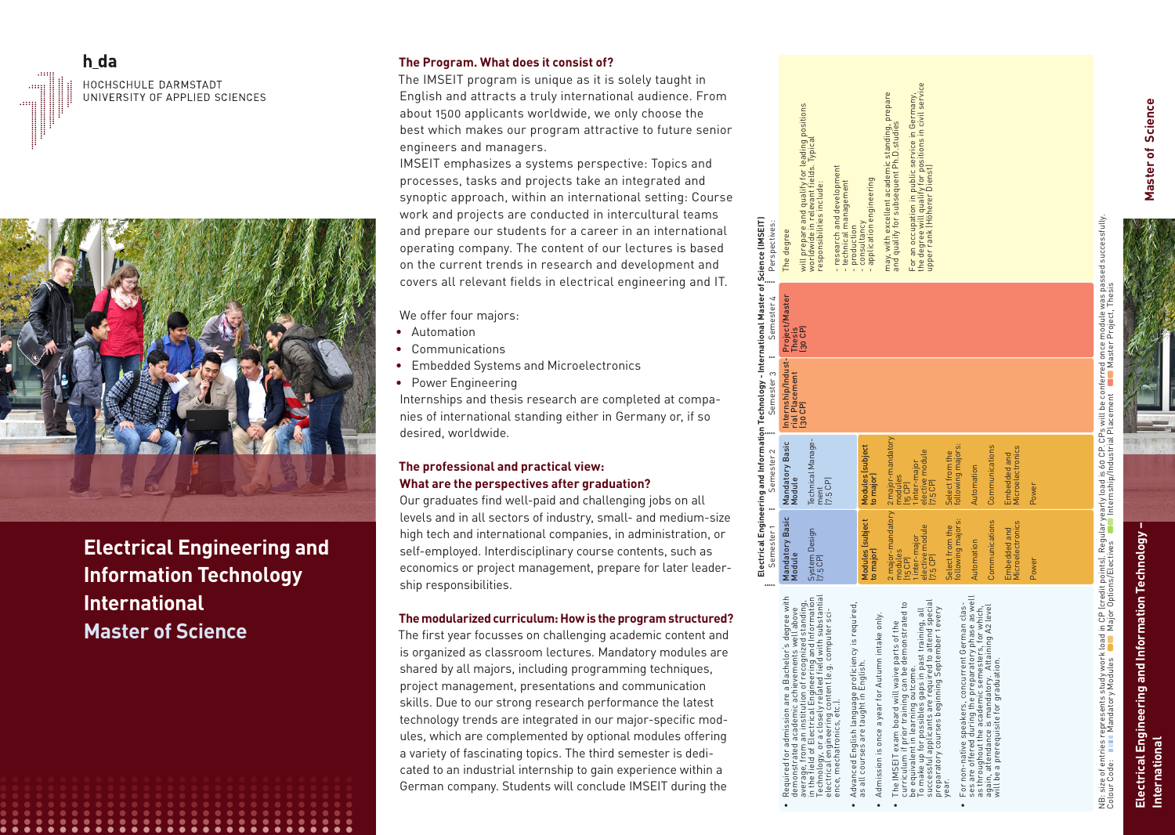# h da HOCHSCHULE DARMSTADT UNIVERSITY OF APPLIED SCIENCES



**Electrical Engineering and Information Technology International Master of Science**

**• • • • • • • • • • • • • • • • • • • • • • • • • • • • • • • •**

**• • • • • • • • • • • • • • • • • • • • • • • • • • • • • •**

**• • • • • • • • • • • • • • • • • • • • • • • • • • • • • •**

**• • • • • • • • • • • • • • • • • • • • • • • • • • • • • •**

# **The Program. What does it consist of?**

The IMSEIT program is unique as it is solely taught in English and attracts a truly international audience. From about 1500 applicants worldwide, we only choose the best which makes our program attractive to future senior engineers and managers.

IMSEIT emphasizes a systems perspective: Topics and processes, tasks and projects take an integrated and synoptic approach, within an international setting: Course work and projects are conducted in intercultural teams and prepare our students for a career in an international operating company. The content of our lectures is based on the current trends in research and development and covers all relevant fields in electrical engineering and IT.

We offer four majors:

- Automation
- Communications
- Embedded Systems and Microelectronics
- Power Engineering

Internships and thesis research are completed at compa nies of international standing either in Germany or, if so desired, worldwide.

# **The professional and practical view: What are the perspectives after graduation?**

Our graduates find well-paid and challenging jobs on all levels and in all sectors of industry, small- and medium-size high tech and international companies, in administration, or self-employed. Interdisciplinary course contents, such as economics or project management, prepare for later leader ship responsibilities.

#### **The modularized curriculum: How is the program structured?**

The first year focusses on challenging academic content and is organized as classroom lectures. Mandatory modules are shared by all majors, including programming techniques, project management, presentations and communication skills. Due to our strong research performance the latest technology trends are integrated in our major-specific mod ules, which are complemented by optional modules offering a variety of fascinating topics. The third semester is dedi cated to an industrial internship to gain experience within a German company. Students will conclude IMSEIT during the



•

•

•

•

The IMSEIT exam board will waive parts of the

 $rac{v}{\sqrt{2}}$ parts of the<br>demonstrate

for Autumn intake profi<br>Enqli language<br>taught in E

be equivalent in learning outcome.

year. • will be a prerequisite for graduation.

as all courses are taught in English.

English I<br>Ses are i

NB: size of entries represents study work load in CP (credit points). Regular yearly load is 60 CP. CPs will be conferred once module was passed successfully. lB: size of entries represents study work load in CP (credit points). Regular yearly load is 60 CP. CPs will be conferred once module was passed succes<br>>olour Code: ■■■■ Mandatory Modules ■■ Major Options/Elective Colour Code: Mandatory Modules Major Options/Electives Internship/Industrial Placement Master Project, Thesis

# **Electrical Engineering and Information Technology –**  Electrical Engineering and Information Technology<br>International **International**

**Master of Science**

Master of Science